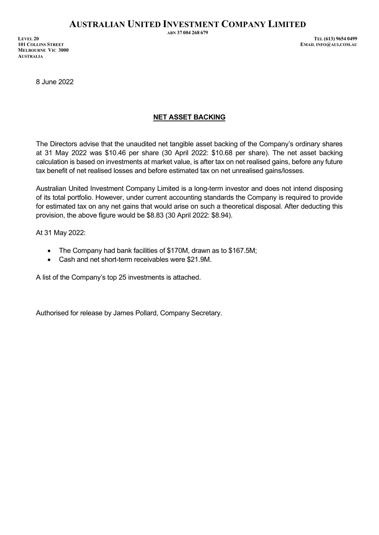**MELBOURNE VIC 3000 AUSTRALIA**

**ABN 37 004 268 679**

**LEVEL 20 TEL (613) 9654 0499**  $EMAIL INFO@AUI. COM.AU$ 

8 June 2022

## **NET ASSET BACKING**

The Directors advise that the unaudited net tangible asset backing of the Company's ordinary shares at 31 May 2022 was \$10.46 per share (30 April 2022: \$10.68 per share). The net asset backing calculation is based on investments at market value, is after tax on net realised gains, before any future tax benefit of net realised losses and before estimated tax on net unrealised gains/losses.

Australian United Investment Company Limited is a long-term investor and does not intend disposing of its total portfolio. However, under current accounting standards the Company is required to provide for estimated tax on any net gains that would arise on such a theoretical disposal. After deducting this provision, the above figure would be \$8.83 (30 April 2022: \$8.94).

At 31 May 2022:

- The Company had bank facilities of \$170M, drawn as to \$167.5M;
- Cash and net short-term receivables were \$21.9M.

A list of the Company's top 25 investments is attached.

Authorised for release by James Pollard, Company Secretary.